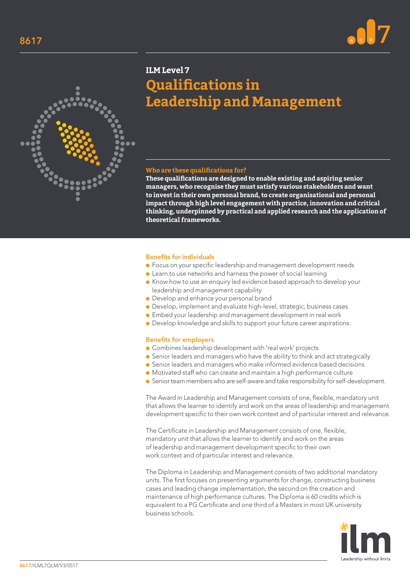



# **ILM Level 7 Qualifications in Leadership and Management**

### **Who are these qualifications for?**

**These qualifications are designed to enable existing and aspiring senior managers, who recognise they must satisfy various stakeholders and want to invest in their own personal brand, to create organisational and personal impact through high level engagement with practice, innovation and critical thinking, underpinned by practical and applied research and the application of theoretical frameworks.**

#### Benefits for individuals

- Focus on your specific leadership and management development needs
- Learn to use networks and harness the power of social learning
- Know how to use an enquiry led evidence based approach to develop your leadership and management capability
- Develop and enhance your personal brand
- Develop, implement and evaluate high-level, strategic, business cases
- Embed your leadership and management development in real work
- Develop knowledge and skills to support your future career aspirations.

#### Benefits for employers

- Combines leadership development with 'real work' projects
- Senior leaders and managers who have the ability to think and act strategically
- Senior leaders and managers who make informed evidence based decisions
- Motivated staff who can create and maintain a high performance culture
- Senior team members who are self-aware and take responsibility for self-development.

The Award in Leadership and Management consists of one, flexible, mandatory unit that allows the learner to identify and work on the areas of leadership and management development specific to their own work context and of particular interest and relevance.

The Certificate in Leadership and Management consists of one, flexible, mandatory unit that allows the learner to identify and work on the areas of leadership and management development specific to their own work context and of particular interest and relevance.

The Diploma in Leadership and Management consists of two additional mandatory units. The first focuses on presenting arguments for change, constructing business cases and leading change implementation, the second on the creation and maintenance of high performance cultures. The Diploma is 60 credits which is equivalent to a PG Certificate and one third of a Masters in most UK university business schools.

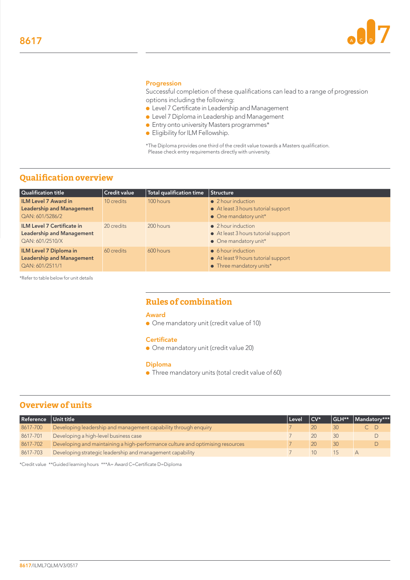

#### Progression

Successful completion of these qualifications can lead to a range of progression options including the following:

- Level 7 Certificate in Leadership and Management
- Level 7 Diploma in Leadership and Management
- Entry onto university Masters programmes\*
- Eligibility for ILM Fellowship.

\*The Diploma provides one third of the credit value towards a Masters qualification. Please check entry requirements directly with university.

# **Qualification overview**

| <b>Qualification title</b>                                                               | <b>Credit value</b> | Total qualification time | Structure                                                                                             |  |  |
|------------------------------------------------------------------------------------------|---------------------|--------------------------|-------------------------------------------------------------------------------------------------------|--|--|
| <b>ILM Level 7 Award in</b><br><b>Leadership and Management</b><br>QAN: 601/5286/2       | 10 credits          | 100 hours                | • 2 hour induction<br>• At least 3 hours tutorial support<br>$\bullet$ One mandatory unit*            |  |  |
| <b>ILM Level 7 Certificate in</b><br><b>Leadership and Management</b><br>QAN: 601/2510/X | 20 credits          | 200 hours                | $\bullet$ 2 hour induction<br>• At least 3 hours tutorial support<br>$\bullet$ One mandatory unit*    |  |  |
| <b>ILM Level 7 Diploma in</b><br><b>Leadership and Management</b><br>QAN: 601/2511/1     | 60 credits          | 600 hours                | $\bullet$ 6 hour induction<br>• At least 9 hours tutorial support<br>$\bullet$ Three mandatory units* |  |  |

\*Refer to table below for unit details

# **Rules of combination**

#### Award

● One mandatory unit (credit value of 10)

#### **Certificate**

● One mandatory unit (credit value 20)

#### Diploma

● Three mandatory units (total credit value of 60)

# **Overview of units**

| Reference | Unit title                                                                     | l Level | $\sqrt{CV^*}$ | GLH**        | Mandatory*** |
|-----------|--------------------------------------------------------------------------------|---------|---------------|--------------|--------------|
| 8617-700  | Developing leadership and management capability through enquiry                |         |               | $30^{\circ}$ |              |
| 8617-701  | Developing a high-level business case                                          |         |               | 30           |              |
| 8617-702  | Developing and maintaining a high-performance culture and optimising resources |         | 20            | 30           |              |
| 8617-703  | Developing strategic leadership and management capability                      |         |               |              |              |

\*Credit value \*\*Guided learning hours \*\*\*A= Award C=Certificate D=Diploma